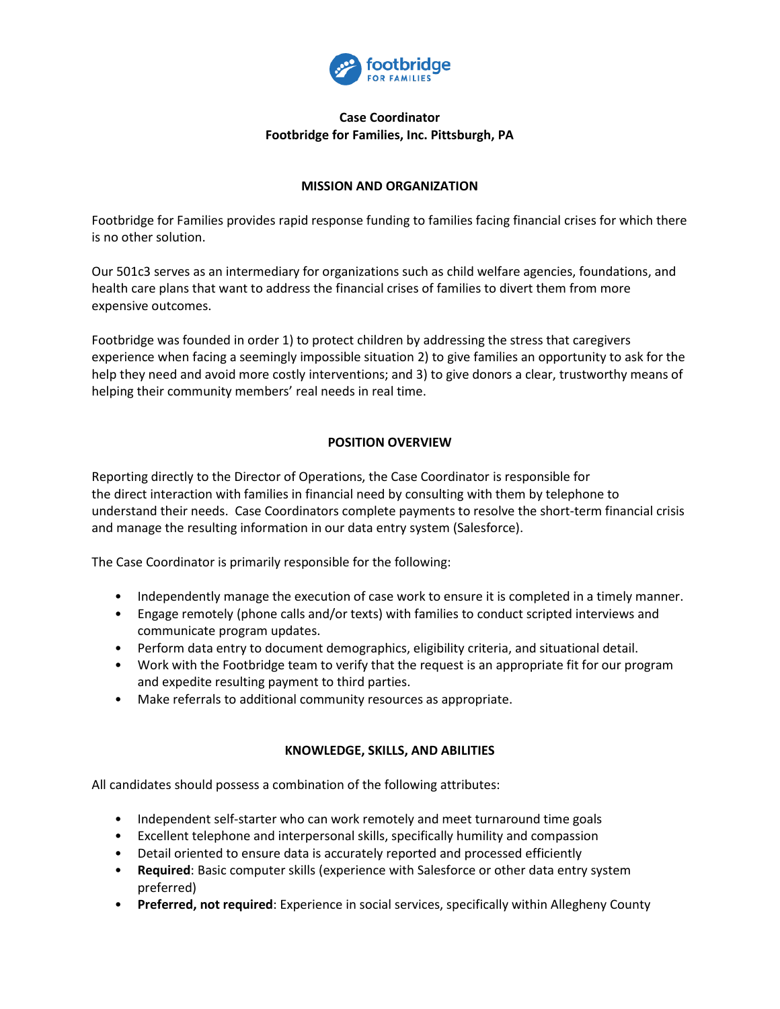

# **Case Coordinator Footbridge for Families, Inc. Pittsburgh, PA**

# **MISSION AND ORGANIZATION**

Footbridge for Families provides rapid response funding to families facing financial crises for which there is no other solution.

Our 501c3 serves as an intermediary for organizations such as child welfare agencies, foundations, and health care plans that want to address the financial crises of families to divert them from more expensive outcomes.

Footbridge was founded in order 1) to protect children by addressing the stress that caregivers experience when facing a seemingly impossible situation 2) to give families an opportunity to ask for the help they need and avoid more costly interventions; and 3) to give donors a clear, trustworthy means of helping their community members' real needs in real time.

# **POSITION OVERVIEW**

Reporting directly to the Director of Operations, the Case Coordinator is responsible for the direct interaction with families in financial need by consulting with them by telephone to understand their needs. Case Coordinators complete payments to resolve the short-term financial crisis and manage the resulting information in our data entry system (Salesforce).

The Case Coordinator is primarily responsible for the following:

- Independently manage the execution of case work to ensure it is completed in a timely manner.
- Engage remotely (phone calls and/or texts) with families to conduct scripted interviews and communicate program updates.
- Perform data entry to document demographics, eligibility criteria, and situational detail.
- Work with the Footbridge team to verify that the request is an appropriate fit for our program and expedite resulting payment to third parties.
- Make referrals to additional community resources as appropriate.

#### **KNOWLEDGE, SKILLS, AND ABILITIES**

All candidates should possess a combination of the following attributes:

- Independent self-starter who can work remotely and meet turnaround time goals
- Excellent telephone and interpersonal skills, specifically humility and compassion
- Detail oriented to ensure data is accurately reported and processed efficiently
- **Required**: Basic computer skills (experience with Salesforce or other data entry system preferred)
- **Preferred, not required**: Experience in social services, specifically within Allegheny County